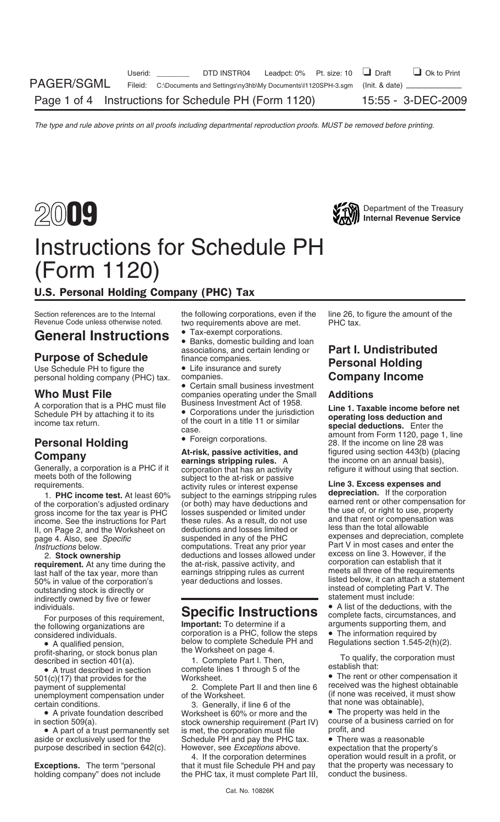



## Instructions for Schedule PH (Form 1120)

### U.S. Personal Holding Company (PHC) Tax

Use Schedule PH to figure the **•** Life insurance and surety<br>
personal holding company (PHC) tax. companies. **Company Income**<br> **Who Must File COMPANY** companies operating under the Small **Additions** 

A corporation that is a PHC must file Business Investment Act of 1958.<br>Schedule PH by attaching it to its **Corporations** under the jurisdiction **Line 1. Taxable income before net**<br>of the equating title 11 or eimilar **opera** 

income. See the instructions for Part these rules. As a result, do not use and that rent or compensation II, on Page 2, and the Worksheet on deductions and losses limited or less than the total allowable page 4. Also, see suspended in any of the PHC expenses and depreciation, complete page 4. Also, see *Specific*<br>
page 4. Also, see *Specific*<br> *computations*. Treat any prior year Part V in most cases and enter the

50% in value of the corporation's year deductions and losses. Itsted below, it can attach a statement<br>outstanding stock is directly or<br>indirectly owned by five or fewer

profit-sharing, or stock bonus plan the Worksheet on page 4.<br>
described in section 401(a). 1. Complete Part I. Then, To qualify, the corporation must<br>
• A trust described in section complete lines 1 through 5 of the Theory

• A trust described in section complete lines 1 through 5 of the establish that:<br>
501(c)(17) that provides for the Worksheet.<br>
2. Complete Part II and then line 6 received was the highest obtainable<br>
2. Complete Part II an unemployment compensation under of the Worksheet. (if none was received, it must certain conditions.  $\begin{array}{ccc} 3. & \text{Generally. if line 6 of the} \end{array}$  (if none was obtainable),

Section references are to the Internal the following corporations, even if the line 26, to figure the amount of the Revenue Code unless otherwise noted. two requirements above are met. PHC tax. two requirements above are met.

- 
- General Instructions Tax-exempt corporations.<br> **General Instructions** Banks, domestic building and loan associations, and certain lending or
	-

companies operating under the Small<br>Business Investment Act of 1958.

**Company**<br> **Company**<br> **Company**<br> **Company**<br> **Company**<br> **Company**<br> **Company**<br> **Company**<br> **Company**<br> **Company**<br> **Company**<br> **Company**<br> **Company**<br> **Company**<br> **Company**<br> **Company**<br> **Company**<br> **Company**<br> **Company**<br> **Company**<br> **C** computations. Treat any prior year Part V in most cases and enter the deductions and losses allowed under excess on line 3. However, if the 2. **Stock ownership** deductions and losses allowed under<br> **requirement.** At any time during the the at-risk, passive activity, and corporation can establish that it<br>
last half of the tax vear, more than earnings stripping

corporation is a PHC, follow the steps  $\bullet$  The information required by below to complete Schedule PH and Regulations section 1.545-2(h)(2). • A qualified pension, below to complete Schedule PH and profit-sharing, or stock bonus plan the Worksheet on page 4.

2. Complete Part II and then line 6 received was the highest obtainable<br>of the Worksheet. (if none was received, it must show

tain conditions.<br>● A private foundation described Yorksheet is 60% or more and the ● The property was held in the • A private foundation described Worksheet is 60% or more and the • The property was held in the in section 509(a).<br>stock ownership requirement (Part IV) course of a business carried on for stock ownership requirement (Part IV) course of a business control is met, the corporation must file state on profit, and • A part of a trust permanently set is met, the corporation must file profit, and aside or exclusively used for the Schedule PH and pay the PHC tax. • There was a reasonable Schedule PH and pay the PHC tax.<br>However, see Exceptions above. purpose described in section 642(c). However, see *Exceptions* above. expectation that the property's

**Exceptions.** The term "personal that it must file Schedule PH and pay that the property was necessary to holding company" does not include the PHC tax, it must complete Part III, conduct the business.

# **Purpose of Schedule** associations, and certain lending or **Part I. Undistributed**<br>
Use Schedule PH to figure the • Life insurance and surety **Personal Holding**

Schedule PH by attaching it to its • Corporations under the jurisdiction **operating loss deduction and** of the court in a title 11 or similar income tax return. **special deductions.** Enter the case. amount from Form 1120, page 1, line • Foreign corporations. **Personal Holding** 28. If the income on line 28 was

1. **PHC income test.** At least 60% subject to the earnings stripping rules<br>of the corporation's adjusted ordinary (or both) may have deductions and<br>gross income for the tax year is PHC losses suspended or limited under<br>inc earning and meets all three of the requirements last half of the tax year, more than than the earnings stripping rules as current meets all three of the requirements and losses.<br>The stripping in the tax year, more than the

individuals.<br>
For purposes of this requirement,<br>
the following organizations are<br>
the following organizations are<br>
corporation is a PHC, follow the steps • The information required by<br>
corporation is a PHC, follow the step

4. If the corporation determines operation would result in a profit, or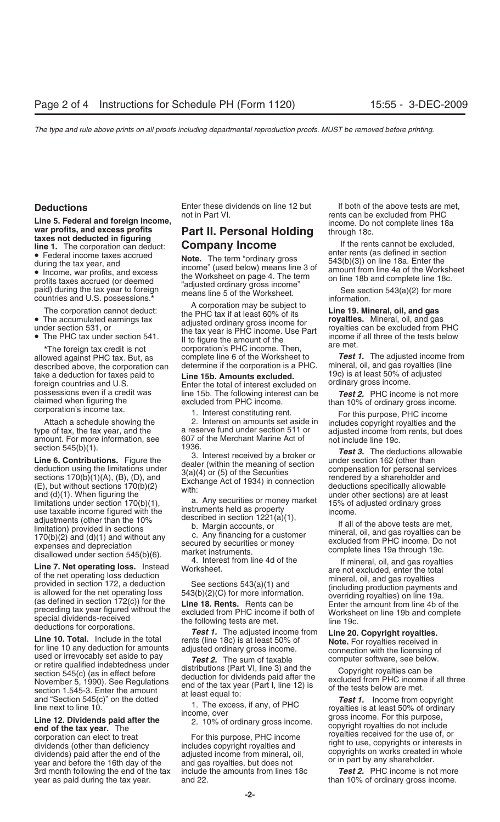Line 5. Federal and foreign income,<br>
war profits, and excess profits<br>
time 1. The corporation can deduct:<br> **Part II. Personal Holding**<br> **Part II. Personal Holding**<br> **Company Income**<br>
• Federal income taxes accrued<br>
• Fede

described above, the corporation can determine if the corporation is a PHC. mineral, oil, and gas royalties (li<br>take a deduction for taxes paid to **I ine 15b. Amounts excluded** 19c) is at least 50% of adjusted

section 545(b)(12) and (a)) the distance of the distance of the distance of the section is the distance of the contributions and contribute the meaning of GC). In the meaning of GC (E) is the contribution of the propositio

3rd month following the end of the tax include the amounts from lines 18c *Test 2.* PHC income is not more year as paid during the tax year. and 22. than 10% of ordinary gross income.

The corporation cannot deduct:<br>
• The accumulated earnings tax<br>
• The PHC tax if at least 60% of its<br>
• The PHC tax under section 541.<br>
• The PHC tax under section 541.<br>
• The FHC tax under section 541.<br>
• The foreign tax <sup>\*</sup>The foreign tax credit is not corporation's PHC income. Then,<br>allowed against PHC tax. But, as complete line 6 of the Worksheet to *Test 1.* The adjusted income from<br>described above, the corporation can determine if t

take a deduction for taxes paid to **Line 15b. Amounts excluded.** The interest excluded on a theast 50% of a foreign countries and U.S. Enter the total of interest excluded on a <sup>ordinary</sup> gross income. For possessions even possessions even if a credit was line 15b. The following interest can be *Test 2.* PHC income is not more claimed when figuring the excluded from PHC income.

Attach a schedule showing the 2. Interest on amounts set aside in includes copyright royalties and the type of tax, the tax year, and the a reserve fund under section 511 or adjusted income from rents, but does amount. For amount. For more information, see 607 of the Merchant Marine Act of not include line 19c.<br>section 545(b)(1). The ded

**Deductions** Enter these dividends on line 12 but If both of the above tests are met,<br>not in Part VI. The state of the excluded from PHC rents can be excluded from PHC

paid) during the tax year to foreign<br>countries and U.S. possessions.\*<br>A corporation may be subject to  $\overline{a}$ ... as and information.

claimed when figuring the excluded from PHC income.<br>
corporation's income tax.<br>
Attach a schedule showing the 2. Interest constituting rent.<br>
Tor this purpose, PHC income<br>
For this purpose, PHC income<br>
For this purpose, PH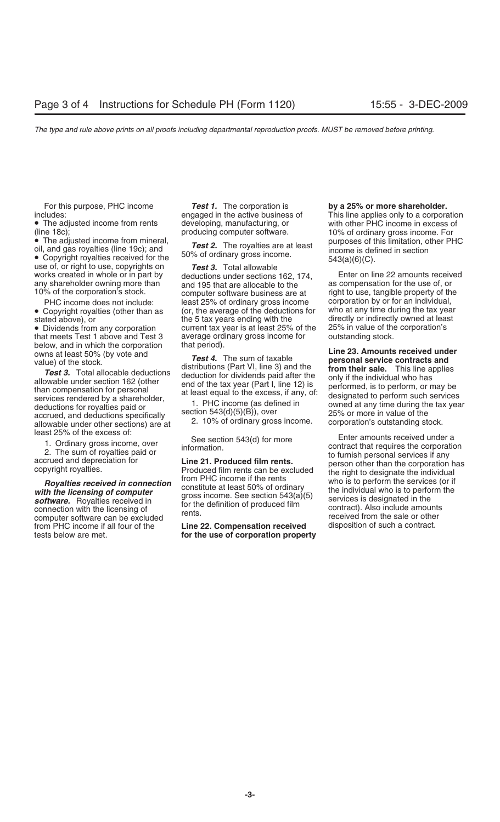(line 18c);<br>
• The adjusted income from mineral,<br>
oil, and gas royalties (line 19c); and<br>
• Copyright royalties received for the<br> **10%** of ordinary dross income is defined in section<br>
• Copyright royalties received for th any shareholder owning more than and 195 that are allocable to the 10% of the corporation's stock.

that meets Test 1 above and Test 3 average ordinary gross income for below, and in which the corporation that period). below, and in which the corporation that period).<br> **Line 23. Amounts received under** value) of the stock **Test 4.** The sum of taxable **personal service contracts and** 

accrued, and deductions specifically section 545(0)(5), over the section of the sections) are at 2. 10% of ordinary gross income. corporation's outstanding stock. least 25% of the excess of:

**software.** Royalties received in connection with the licensing of connection with the licensing of contract). Also include amounts rents. Computer software can be excluded received from PHC income if all four of the **Line** from PHC income if all four of the **Line 22. Compensation received**<br>tests below are met. **for the use of corporation proper** 

For this purpose, PHC income *Test 1.* The corporation is **by a 25% or more shareholder.**

use of, or right to use, copyrights on **Test 3.** Total allowable<br>works created in whole or in part by deductions under sections 162, 174, Enter on line 22 amounts received<br>any shareholder owning more than and 195 that are % of the corporation's stock. computer software business are at right to use, tangible property of the <br>PHC income does not include: least 25% of ordinary gross income corporation by or for an individual, PHC income does not include: least 25% of ordinary gross income corporation by or for an individual,<br>Copyright royalties (other than as (or, the average of the deductions for who at any time during the tax year • Copyright royalties (other than as (or, the average of the deductions for stated above), or the 5 tax years ending with the stated above), or example 5 tax years ending with the directly or indirectly owned at least<br>• Dividends from any corporation example unrent tax year is at least 25% of the 25% in value of the corporation's • Dividends from any corporation current tax year is at least 25% of the 25% in value of the that meets Test 1 above and Test 3 average ordinary gross income for outstanding stock.

**Royalties received in connection**<br>
who is to perform the services (or if<br>
who is to perform the services (or if<br> **software.** Royalties received in<br> **software.** Royalties received in<br>
to the definition of produced film<br>
fo

for the use of corporation property

includes:<br>
• The adjusted income from rents engaged in the active business of This line applies only to a corporation<br>
• The adjusted income from rents developing, manufacturing, or with other PHC income in excess of developing, manufacturing, or with other PHC income in excess of producing computer software.

Test 4. The sum of taxable<br>
value) of the stock.<br> **Test 3.** Total allocable deductions<br>
allowable under section 162 (other<br>
than compensation for personal<br>
services rendered by a shareholder,<br>
deductions for royalties paid

1. Ordinary gross income, over<br>
2. The sum of royalties paid or<br>
accrued and depreciation for<br>
to furnish personal services if any<br>
copyright royalties.<br>
Produced film rents can be excluded<br>
Produced film rents can be excl